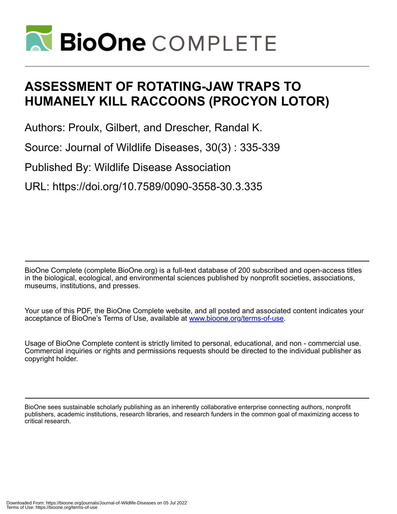

# **ASSESSMENT OF ROTATING-JAW TRAPS TO HUMANELY KILL RACCOONS (PROCYON LOTOR)**

Authors: Proulx, Gilbert, and Drescher, Randal K.

Source: Journal of Wildlife Diseases, 30(3) : 335-339

Published By: Wildlife Disease Association

URL: https://doi.org/10.7589/0090-3558-30.3.335

BioOne Complete (complete.BioOne.org) is a full-text database of 200 subscribed and open-access titles in the biological, ecological, and environmental sciences published by nonprofit societies, associations, museums, institutions, and presses.

Your use of this PDF, the BioOne Complete website, and all posted and associated content indicates your acceptance of BioOne's Terms of Use, available at www.bioone.org/terms-of-use.

Usage of BioOne Complete content is strictly limited to personal, educational, and non - commercial use. Commercial inquiries or rights and permissions requests should be directed to the individual publisher as copyright holder.

BioOne sees sustainable scholarly publishing as an inherently collaborative enterprise connecting authors, nonprofit publishers, academic institutions, research libraries, and research funders in the common goal of maximizing access to critical research.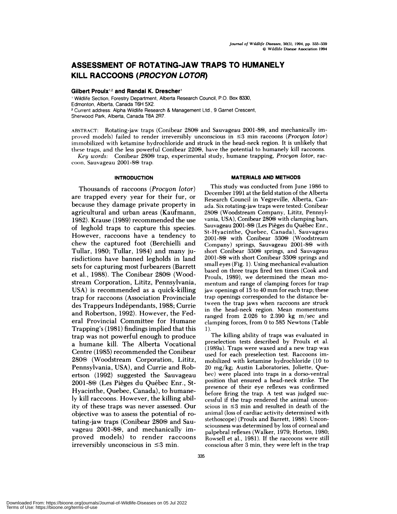# **ASSESSMENT OF ROTATING-JAW TRAPS TO HUMANELY KILL RACCOONS (PROCYON LOTOR)**

## **Gilbert Proulx12 and Randal K. Drescher**

Wildlife Section, Forestry Department, Alberta Research Council, P.O. Box 8330, Edmonton, Alberta, Canada T6H 5X2. **<sup>2</sup>** Current address: Alpha Wildlife Research & Management Ltd., 9 Garnet Crescent, Sherwood Park, Alberta, Canada T8A 2R7.

ABSTRACT: Rotating-jaw traps (Conibear 280 $\circ$  and Sauvageau 2001-8 $\circ$ ), and mechanically improved models) failed to render irreversibly unconscious in 3 mm raccoons *(Procyon lotor)* immobilized with ketamine hydrochloride and struck in the head-neck region. It is unlikely that these traps, and the less powerful Conibear 220<sup>®</sup>, have the potential to humanely kill raccoons.

*Key words:* Conibear 280<sup>®</sup> trap, experimental study, humane trapping, *Procyon lotor*, raccoon, Sauvageau 2001-8<sup>®</sup> trap.

### **INTRODUCTION**

Thousands of raccoons *(Proc yon lot or)* are trapped every year for their fur, or because they damage private property in agricultural and urban areas (Kaufmann, 1982). Krause (1989) recommended the use of leghold traps to capture this species. However, raccoons have a tendency to chew the captured foot (Berchielli and Tullar, 1980; Tullar, 1984) and many jurisdictions have banned legholds in land sets for capturing most furbearers (Barrett et al., 1988). The Conibear 280<sup>®</sup> (Woodstream Corporation, Lititz, Pennsylvania, USA) is recommended as a quick-killing trap for raccoons (Association Provinciale des Trappeurs Indépendants, 1988; Currie and Robertson, 1992). However, the Federal Provincial Committee for Humane Trapping's (1981) findings implied that this trap was not powerful enough to produce a humane kill. The Alberta Vocational Centre (1985) recommended the Conibear 280<sup>®</sup> (Woodstream Corporation, Lititz, Pennsylvania, USA), and Currie and Rob ertson (1992) suggested the Sauvageau 2001-8<sup>®</sup> (Les Pièges du Québec Enr., St-Hyacinthe, Quebec, Canada), to humanely kill raccoons. However, the killing ability of these traps was never assessed. Our objective was to assess the potential of rotating-jaw traps (Conibear 280<sup>®</sup> and Sauvageau 2001-8<sup>®</sup>, and mechanically improved models) to render raccoons irreversibly unconscious in  $\leq 3$  min.

# **MATERIALS AND METHODS**

This study was conducted from June 1986 to December 1991 at the field station of the Alberta Research Council in Vegreville, Alberta, Canada. Six rotating-jaw traps were tested: Conibear 280<sup>®</sup> (Woodstream Company, Lititz, Pennsylvania, USA), Conibear 280<sup>®</sup> with clamping bars, Sauvageau 2001-8<sup>®</sup> (Les Pièges du Québec Enr., St-Hyacinthe, Quebec, Canada), Sauvageau 2001-8<sup>®</sup> with Conibear 330<sup>®</sup> (Woodstream Company) springs, Sauvageau 2001-8<sup>®</sup> with short Conibear 330<sup>®</sup> springs, and Sauvageau 2001-8<sup>®</sup> with short Conibear 330<sup>®</sup> springs and small eyes (Fig. 1). Using mechanical evaluation based on three traps fired ten times (Cook and Proulx, 1989), we determined the mean mo mentum and range of clamping forces for trap jaw openings of 15 to 40 mm for each trap; these trap openings corresponded to the distance between the trap jaws when raccoons are struck in the head-neck region. Mean momentums ranged from 2.026 to 2.390 kg m/sec and clamping forces, from 0 to 585 Newtons (Table 1).

The killing ability of traps was evaluated in preselection tests described by Proulx et al. (1989a). Traps were waxed and a new trap was used for each preselection test. Raccoons immobilized with ketamine hydrochloride (10 to 20 mg/kg; Austin Laboratories, Joliette, Quebec) were placed into traps in a dorso-ventral position that ensured a head-neck strike. The presence of their eye reflexes was confirmed before firing the trap. A test was judged suc cessful if the trap rendered the animal uncon scious in  $\leq 3$  min and resulted in death of the animal (loss of cardiac activity determined with stethoscope) (Proulx and Barrett, 1988). Unconsciousness was determined by loss of corneal and palpebral reflexes (Walker, 1979; Horton, 1980; Rowsell et al., 1981). If the raccoons were still conscious after 3 min, they were left in the trap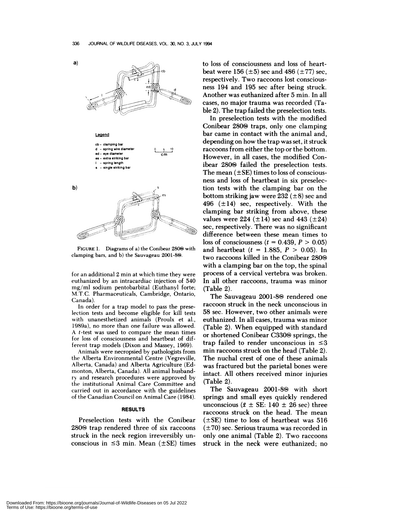

FIGURE 1. Diagrams of a) the Conibear 280<sup>®</sup> with clamping bars, and b) the Sauvageau 2001-8<sup>®</sup>.

for an additional 2 min at which time they were euthanized by an intracardiac injection of 540 mg/ml sodium pentobarbital (Euthanyl forte; M.T.C. Pharmaceuticals, Cambridge, Ontario, Canada).

In order for a trap model to pass the preselection tests and become eligible for kill tests with unanesthetized animals (Proulx et al., 1989a), no more than one failure was allowed. A  $t$ -test was used to compare the mean times for loss of consciousness and heartbeat of different trap models (Dixon and Massey, 1969).

Animals were necropsied by pathologists from the Alberta Environmental Centre (Vegreville, Alberta, Canada) and Alberta Agriculture (Ed monton, Alberta, Canada). All animal husbandry and research procedures were approved by the institutional Animal Care Committee and carried out in accordance with the guidelines of the Canadian Council on Animal Care (1984).

#### **RESULTS**

Preselection tests with the Conibear 280<sup>®</sup> trap rendered three of six raccoons struck in the neck region irreversibly un conscious in  $\leq$ 3 min. Mean ( $\pm$ SE) times to loss of consciousness and loss of heartbeat were 156 ( $\pm 5$ ) sec and 486 ( $\pm 77$ ) sec, respectively. Two raccoons lost conscious ness 194 and 195 sec after being struck. Another was euthanized after 5 min. In all cases, no major trauma was recorded (Table 2). The trap failed the preselection tests.

In preselection tests with the modified Conibear  $280$ <sup>®</sup> traps, only one clamping bar came in contact with the animal and, depending on how the trap was set, it struck raccoons from either the top or the bottom. However, in all cases, the modified Conibear 280<sup>®</sup> failed the preselection tests. The mean  $(\pm SE)$  times to loss of consciousness and loss of heartbeat in six preselection tests with the clamping bar on the bottom striking jaw were 232  $(\pm 8)$  sec and 496  $(\pm 14)$  sec, respectively. With the clamping bar striking from above, these values were 224 ( $\pm$ 14) sec and 443 ( $\pm$ 24) sec, respectively. There was no significant difference between these mean times to loss of consciousness  $(t = 0.439, P > 0.05)$ and heartbeat  $(t = 1.885, P > 0.05)$ . In two raccoons killed in the Conibear 280<sup>®</sup> with a clamping bar on the top, the spinal process of a cervical vertebra was broken. In all other raccoons, trauma was minor (Table 2).

The Sauvageau  $2001-8$  rendered one raccoon struck in the neck unconscious in 58 sec. However, two other animals were euthanized. In allcases, trauma was minor (Table 2). When equipped with standard or shortened Conibear C330<sup>®</sup> springs, the trap failed to render unconscious in  $\leq 3$ min raccoons struck on the head (Table 2). The nuchal crest of one of these animals was fractured but the panietal bones were intact. All others received minor injuries (Table 2).

The Sauvageau  $2001-8$  with short springs and small eyes quickly rendered unconscious ( $\bar{x} \pm \text{SE}$ : 140  $\pm$  26 sec) three raccoons struck on the head. The mean  $(\pm SE)$  time to loss of heartbeat was 516  $(\pm 70)$  sec. Serious trauma was recorded in only one animal (Table 2). Two raccoons struck in the neck were euthanized; no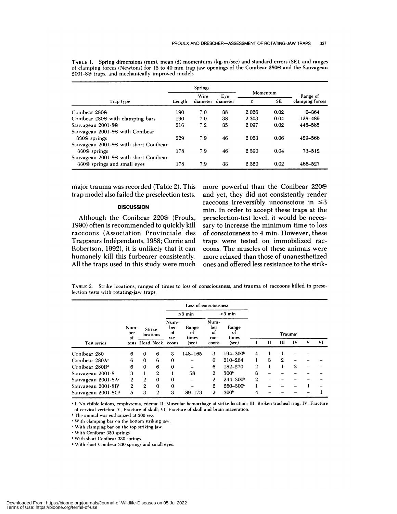|                                                   |        | Springs          |          |                |      |                 |  |
|---------------------------------------------------|--------|------------------|----------|----------------|------|-----------------|--|
|                                                   |        | Wire<br>diameter | Eve      | Momentum       |      | Range of        |  |
| Trap type                                         | Length |                  | diameter | <b>SE</b><br>f |      | clamping forces |  |
| Conibear 280 <sup>®</sup>                         | 190    | 7.0              | 38       | 2.026          | 0.02 | $0 - 364$       |  |
| Conibear 280 <sup>®</sup> with clamping bars      | 190    | 7.0              | 38       | 2.303          | 0.04 | 128-489         |  |
| Sauvageau 2001-8 <sup>®</sup>                     | 216    | 7.2              | 35       | 2.097          | 0.02 | 446-585         |  |
| Sauvageau 2001-8 <sup>®</sup> with Conibear       |        |                  |          |                |      |                 |  |
| 330 <sup>®</sup> springs                          | 229    | 7.9              | 46       | 2.023          | 0.06 | 429-566         |  |
| Sauvageau 2001-8 <sup>®</sup> with short Conibear |        |                  |          |                |      |                 |  |
| 330 <sup>®</sup> springs                          | 178    | 7.9              | 46       | 2.390          | 0.04 | 73-512          |  |
| Sauvageau 2001-8 <sup>®</sup> with short Conibear |        |                  |          |                |      |                 |  |
| 330 <sup>®</sup> springs and small eyes           | 178    | 7.9              | 33       | 2.320          | 0.02 | 466-527         |  |

TABLE 1. Spring dimensions (mm), mean  $(\bar{x})$  momentums (kg-m/sec) and standard errors (SE), and ranges of clamping forces (Newtons) for 15 to 40 mm trap jaw openings of the Conibear 2800 and the Sauvageau  $2001-80$  traps, and mechanically improved models.

major trauma was recorded (Table 2). This trap model also failed the preselection tests.

# **DISCUSSION**

Although the Conibear  $220\circ$  (Proulx, 1990) often is recommended to quickly kill raccoons (Association Provinciale des Trappeurs Indépendants, 1988; Currie and Robertson, 1992), it is unlikely that it can humanely kill this furbearer consistently. All the traps used in this study were much more powerful than the Conibear 220 and yet, they did not consistently render raccoons irreversibly unconscious in  $\leq 3$ min. In order to accept these traps at the preselection-test level, it would be neces sary to increase the minimum time to loss of consciousness to 4 min. However, these traps were tested on immobilized rac coons. The muscles of these animals were more relaxed than those of unanesthetized ones and offered less resistance to the strik-

TABLE 2. Strike locations, ranges of times to loss of consciousness, and trauma of raccoons killed in preselection tests with rotating-jaw traps.

|                                |                   |                     |                           | Loss of consciousness |                           |                      |                     |              |   |   |               |   |           |
|--------------------------------|-------------------|---------------------|---------------------------|-----------------------|---------------------------|----------------------|---------------------|--------------|---|---|---------------|---|-----------|
| <b>Test series</b>             |                   | Strike<br>locations |                           | $\leq$ 3 min          |                           | $>3$ min             |                     |              |   |   |               |   |           |
|                                | Num-<br>ber<br>Ωt |                     | Num-<br>ber<br>ot<br>rac- | Range<br>оt<br>times  | Num-<br>ber<br>of<br>rac- | Range<br>οt<br>times | Trauma <sup>.</sup> |              |   |   |               |   |           |
|                                |                   | tests Head Neck     |                           | coons                 | (sec)                     | coons                | (sec)               |              | п | Ш | $\mathbf{IV}$ | V | <b>VI</b> |
| Conibear 280                   | 6                 | $\mathbf{0}$        | 6                         | 3                     | $148 - 165$               | 3                    | $194 - 300^{\circ}$ | 4            |   |   |               |   |           |
| Conibear 280A <sup>c</sup>     | 6                 | $\Omega$            | 6                         | $\mathbf 0$           |                           | 6                    | 210-264             |              | 3 | 2 |               |   |           |
| Conibear 280B <sup>d</sup>     | 6                 | $\bf{0}$            | 6                         | $\bf{0}$              |                           | 6                    | 182-270             | 2            |   |   | 2             |   |           |
| Sauvageau 2001-8               | 3                 |                     | $\mathbf{2}$              |                       | 58                        | $\mathbf{2}$         | 300 <sup>b</sup>    | 3            |   |   |               |   |           |
| Sauvageau 2001-8A*             | 2                 | 2                   | $\mathbf 0$               | $\bf{0}$              |                           | 2                    | $244 - 300^{\circ}$ | $\mathbf{2}$ |   |   |               |   |           |
| Sauvageau 2001-8B              | 2                 | $\overline{2}$      | $\bf{0}$                  | $\bf{0}$              |                           | 2                    | $260 - 300$         |              |   |   |               |   |           |
| Sauvageau 2001-8C <sup>s</sup> | 5                 | 3                   | $\mathbf{2}$              | 3                     | 89-173                    | $\mathbf{2}$         | 300 <sup>b</sup>    | 4            |   |   |               |   |           |

I. No visible lesions, emphysema, edema; II, Muscular hemorrhage at strike location; III. Broken tracheal ring; IV, Fracture of cervical vertebra; V. Fracture of skull; VI, Fracture of skull and brain maceration.

<sup>b</sup> The animal was euthanized at 300 sec.

'With clamping bar on the bottom striking jaw.

With clamping bar on the top striking jaw.

With Conibear 330 springs.

'With short Conihear 330 springs.

'With short Conibear 330 springs and small eyes.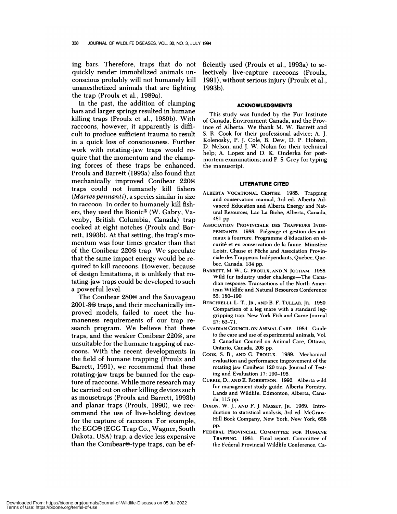ing bars. Therefore, traps that do not quickly render immobilized animals un conscious probably will not humanely kill unanesthetized animals that are fighting the trap (Proulx et al., 1989a).

In the past, the addition of clamping bars and larger springs resulted in humane killing traps (Proulx et al., 1989b). With raccoons, however, it apparently is difficult to produce sufficient trauma to result in a quick loss of consciousness. Further work with rotating-jaw traps would re quire that the momentum and the clamping forces of these traps be enhanced. Proulx and Barrett (1993a) also found that mechanically improved Conibear 220& traps could not humanely kill fishers *(Martes pennanti),* a species similar in size to raccoon. In order to humanely kill fishers, they used the Bionic® (W. Gabry, Vavenby, British Columbia, Canada) trap cocked at eight notches (Proulx and Barrett, 1993b). At that setting, the trap's mo mentum was four times greater than that of the Conibear  $220$  trap. We speculate that the same impact energy would be re quired to kill raccoons. However, because of design limitations, it is unlikely that rotating-jaw traps could be developed to such a powerful level.

The Conibear 280<sup>®</sup> and the Sauvageau  $2001$ -8 $\odot$  traps, and their mechanically improved models, failed to meet the hu maneness requirements of our trap re search program. We believe that these traps, and the weaker Conibear 220®, are unsuitable for the humane trapping of rac coons. With the recent developments in the field of humane trapping (Proulx and Barrett, 1991), we recommend that these rotating-jaw traps be banned for the capture of raccoons. While more research may be carried out on other killing devices such as mousetraps (Proulx and Barrett, 1993b) and planar traps (Proulx, 1990), we rec ommend the use of live-holding devices for the capture of raccoons. For example, the EGGS (EGG Trap Co., Wagner, South Dakota, USA) trap, a device less expensive than the Conibear $\Theta$ -type traps, can be efficiently used (Proulx et a!., 1993a) to selectively live-capture raccoons (Proulx, 1991), without serious injury (Proulx et al., 1993b).

### **ACKNOWLEDGMENTS**

This study was funded by the Fur Institute of Canada, Environment Canada, and the Province of Alberta. We thank M. W. Barrett and S. R. Cook for their professional advice; A. J. Kolenosky, P. J. Cole, B. Dew, D. P. Hobson, D. Nelson, and J. W. Nolan for their technical help; A. Lopez and D. K. Onderka for post mortem examinations; and P.S. Grey for typing the manuscript.

#### **LITERATURE CITED**

- **ALBERTA VOCATIONAL CENTRE.** 1985. Trapping and conservation manual, 3rd ed. Alberta Advanced Education and Alberta Energy and Nat ural Resources, Lac La Biche, Alberta, Canada, 481 pp.
- **ASSOCIATION PROVINCIALE** DES **TRAPPEURS INDE-** PENDANTS. 1988. Piégeage et gestion des animaux à fourrure. Programme d'éducation en sécurité et en conservation de la faune. Ministère Loisir, Chasse et Pêche and Association Provinciale des Trappeurs Indépendants, Quebec, Quebec, Canada, 134 pp.
- **BARRETT,** M. W., **C. PROULX, AND** N. **JOTHAM.** 1988. Wild fur industry under challenge-The Canadian response. Transactions of the North American Wildlife and Natural Resources Conference 53: 180-190.
- BERCHIELLI, L. T., **JR., AND B.** F. **TULLAR, JR.** 1980. Comparison of a leg snare with a standard leggripping trap. New York Fish and Game Journal 27: 63-71.
- **CANADIAN COUNCIL ON ANIMAL CARE.** 1984. Guide to the care and use of experimental animals, Vol. 2. Canadian Council on Animal Care, Ottawa, Ontario, Canada, 208 pp.
- CooK, S. R., **AND C. PROULX.** 1989. Mechanical evaluation and performance improvement of the rotating jaw Conibear 120 trap. Journal of Testing and Evaluation 17: 190-195.
- **CURRIE, D., AND** E. **ROBERTSON.** 1992. Alberta wild fur management study guide. Alberta Forestry, Lands and Wildlife, Edmonton, Alberta, Canada, 115 pp.
- **DIxON,** W. J., **AND F.** J. MASSEY, **JR.** 1969. Introduction to statistical analysis, 3rd ed. McGraw- Hill Book Company, New York, New York, 638 pp.
- **FEDERAL PROVINCIAL COMMITTEE FOR HUMANE TRAPPING.** 1981. Final report. Committee of the Federal Provincial Wildlife Conference, Ca-